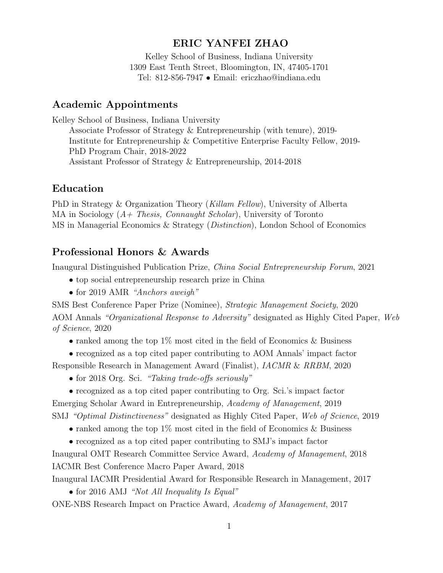#### ERIC YANFEI ZHAO

Kelley School of Business, Indiana University 1309 East Tenth Street, Bloomington, IN, 47405-1701 Tel: 812-856-7947 • Email: ericzhao@indiana.edu

#### Academic Appointments

Kelley School of Business, Indiana University Associate Professor of Strategy & Entrepreneurship (with tenure), 2019- Institute for Entrepreneurship & Competitive Enterprise Faculty Fellow, 2019- PhD Program Chair, 2018-2022 Assistant Professor of Strategy & Entrepreneurship, 2014-2018

#### Education

PhD in Strategy & Organization Theory (Killam Fellow), University of Alberta MA in Sociology  $(A + \text{Thesis}, \text{Connaught Scholar})$ , University of Toronto MS in Managerial Economics & Strategy (Distinction), London School of Economics

### Professional Honors & Awards

Inaugural Distinguished Publication Prize, China Social Entrepreneurship Forum, 2021

- top social entrepreneurship research prize in China
- for 2019 AMR "Anchors aweigh"

SMS Best Conference Paper Prize (Nominee), Strategic Management Society, 2020 AOM Annals "Organizational Response to Adversity" designated as Highly Cited Paper, Web of Science, 2020

• ranked among the top  $1\%$  most cited in the field of Economics & Business

• recognized as a top cited paper contributing to AOM Annals' impact factor

Responsible Research in Management Award (Finalist), IACMR & RRBM, 2020

- for 2018 Org. Sci. "Taking trade-offs seriously"
- recognized as a top cited paper contributing to Org. Sci.'s impact factor

Emerging Scholar Award in Entrepreneurship, Academy of Management, 2019

SMJ "Optimal Distinctiveness" designated as Highly Cited Paper, Web of Science, 2019

- ranked among the top  $1\%$  most cited in the field of Economics & Business
- recognized as a top cited paper contributing to SMJ's impact factor

Inaugural OMT Research Committee Service Award, Academy of Management, 2018 IACMR Best Conference Macro Paper Award, 2018

Inaugural IACMR Presidential Award for Responsible Research in Management, 2017

• for 2016 AMJ "Not All Inequality Is Equal"

ONE-NBS Research Impact on Practice Award, Academy of Management, 2017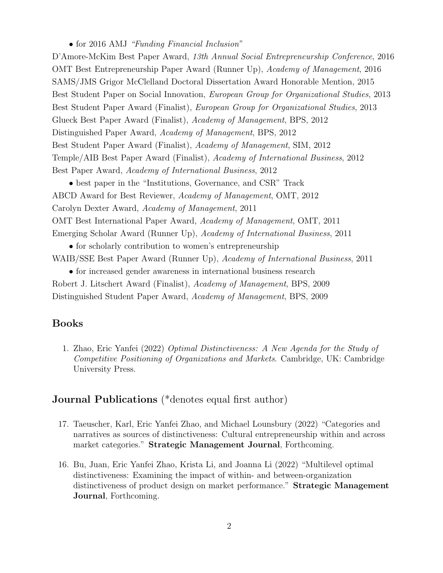• for 2016 AMJ "Funding Financial Inclusion"

D'Amore-McKim Best Paper Award, 13th Annual Social Entrepreneurship Conference, 2016 OMT Best Entrepreneurship Paper Award (Runner Up), Academy of Management, 2016 SAMS/JMS Grigor McClelland Doctoral Dissertation Award Honorable Mention, 2015 Best Student Paper on Social Innovation, European Group for Organizational Studies, 2013 Best Student Paper Award (Finalist), European Group for Organizational Studies, 2013 Glueck Best Paper Award (Finalist), Academy of Management, BPS, 2012 Distinguished Paper Award, Academy of Management, BPS, 2012 Best Student Paper Award (Finalist), Academy of Management, SIM, 2012 Temple/AIB Best Paper Award (Finalist), Academy of International Business, 2012 Best Paper Award, Academy of International Business, 2012

• best paper in the "Institutions, Governance, and CSR" Track ABCD Award for Best Reviewer, Academy of Management, OMT, 2012 Carolyn Dexter Award, Academy of Management, 2011 OMT Best International Paper Award, Academy of Management, OMT, 2011 Emerging Scholar Award (Runner Up), Academy of International Business, 2011

• for scholarly contribution to women's entrepreneurship WAIB/SSE Best Paper Award (Runner Up), Academy of International Business, 2011

• for increased gender awareness in international business research Robert J. Litschert Award (Finalist), Academy of Management, BPS, 2009 Distinguished Student Paper Award, Academy of Management, BPS, 2009

#### Books

1. Zhao, Eric Yanfei (2022) Optimal Distinctiveness: A New Agenda for the Study of Competitive Positioning of Organizations and Markets. Cambridge, UK: Cambridge University Press.

## Journal Publications (\*denotes equal first author)

- 17. Taeuscher, Karl, Eric Yanfei Zhao, and Michael Lounsbury (2022) "Categories and narratives as sources of distinctiveness: Cultural entrepreneurship within and across market categories." Strategic Management Journal, Forthcoming.
- 16. Bu, Juan, Eric Yanfei Zhao, Krista Li, and Joanna Li (2022) "Multilevel optimal distinctiveness: Examining the impact of within- and between-organization distinctiveness of product design on market performance." Strategic Management Journal, Forthcoming.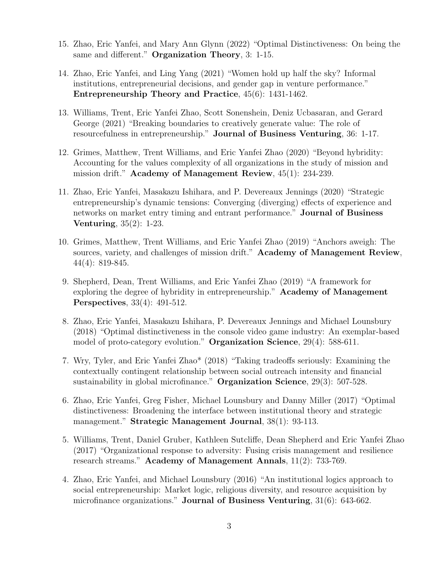- 15. Zhao, Eric Yanfei, and Mary Ann Glynn (2022) "Optimal Distinctiveness: On being the same and different." Organization Theory, 3: 1-15.
- 14. Zhao, Eric Yanfei, and Ling Yang (2021) "Women hold up half the sky? Informal institutions, entrepreneurial decisions, and gender gap in venture performance." Entrepreneurship Theory and Practice, 45(6): 1431-1462.
- 13. Williams, Trent, Eric Yanfei Zhao, Scott Sonenshein, Deniz Ucbasaran, and Gerard George (2021) "Breaking boundaries to creatively generate value: The role of resourcefulness in entrepreneurship." Journal of Business Venturing, 36: 1-17.
- 12. Grimes, Matthew, Trent Williams, and Eric Yanfei Zhao (2020) "Beyond hybridity: Accounting for the values complexity of all organizations in the study of mission and mission drift." Academy of Management Review, 45(1): 234-239.
- 11. Zhao, Eric Yanfei, Masakazu Ishihara, and P. Devereaux Jennings (2020) "Strategic entrepreneurship's dynamic tensions: Converging (diverging) effects of experience and networks on market entry timing and entrant performance." Journal of Business Venturing, 35(2): 1-23.
- 10. Grimes, Matthew, Trent Williams, and Eric Yanfei Zhao (2019) "Anchors aweigh: The sources, variety, and challenges of mission drift." Academy of Management Review, 44(4): 819-845.
- 9. Shepherd, Dean, Trent Williams, and Eric Yanfei Zhao (2019) "A framework for exploring the degree of hybridity in entrepreneurship." Academy of Management Perspectives, 33(4): 491-512.
- 8. Zhao, Eric Yanfei, Masakazu Ishihara, P. Devereaux Jennings and Michael Lounsbury (2018) "Optimal distinctiveness in the console video game industry: An exemplar-based model of proto-category evolution." Organization Science, 29(4): 588-611.
- 7. Wry, Tyler, and Eric Yanfei Zhao\* (2018) "Taking tradeoffs seriously: Examining the contextually contingent relationship between social outreach intensity and financial sustainability in global microfinance." Organization Science, 29(3): 507-528.
- 6. Zhao, Eric Yanfei, Greg Fisher, Michael Lounsbury and Danny Miller (2017) "Optimal distinctiveness: Broadening the interface between institutional theory and strategic management." Strategic Management Journal, 38(1): 93-113.
- 5. Williams, Trent, Daniel Gruber, Kathleen Sutcliffe, Dean Shepherd and Eric Yanfei Zhao (2017) "Organizational response to adversity: Fusing crisis management and resilience research streams." Academy of Management Annals, 11(2): 733-769.
- 4. Zhao, Eric Yanfei, and Michael Lounsbury (2016) "An institutional logics approach to social entrepreneurship: Market logic, religious diversity, and resource acquisition by microfinance organizations." Journal of Business Venturing, 31(6): 643-662.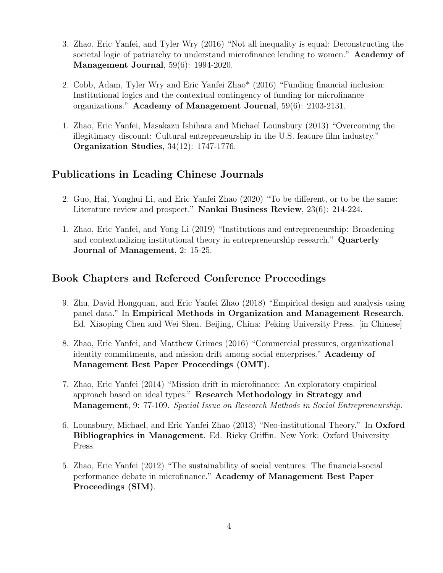- 3. Zhao, Eric Yanfei, and Tyler Wry (2016) "Not all inequality is equal: Deconstructing the societal logic of patriarchy to understand microfinance lending to women." Academy of Management Journal, 59(6): 1994-2020.
- 2. Cobb, Adam, Tyler Wry and Eric Yanfei Zhao\* (2016) "Funding financial inclusion: Institutional logics and the contextual contingency of funding for microfinance organizations." Academy of Management Journal, 59(6): 2103-2131.
- 1. Zhao, Eric Yanfei, Masakazu Ishihara and Michael Lounsbury (2013) "Overcoming the illegitimacy discount: Cultural entrepreneurship in the U.S. feature film industry." Organization Studies, 34(12): 1747-1776.

## Publications in Leading Chinese Journals

- 2. Guo, Hai, Yonghui Li, and Eric Yanfei Zhao (2020) "To be different, or to be the same: Literature review and prospect." Nankai Business Review, 23(6): 214-224.
- 1. Zhao, Eric Yanfei, and Yong Li (2019) "Institutions and entrepreneurship: Broadening and contextualizing institutional theory in entrepreneurship research." Quarterly Journal of Management, 2: 15-25.

### Book Chapters and Refereed Conference Proceedings

- 9. Zhu, David Hongquan, and Eric Yanfei Zhao (2018) "Empirical design and analysis using panel data." In Empirical Methods in Organization and Management Research. Ed. Xiaoping Chen and Wei Shen. Beijing, China: Peking University Press. [in Chinese]
- 8. Zhao, Eric Yanfei, and Matthew Grimes (2016) "Commercial pressures, organizational identity commitments, and mission drift among social enterprises." Academy of Management Best Paper Proceedings (OMT).
- 7. Zhao, Eric Yanfei (2014) "Mission drift in microfinance: An exploratory empirical approach based on ideal types." Research Methodology in Strategy and Management, 9: 77-109. Special Issue on Research Methods in Social Entrepreneurship.
- 6. Lounsbury, Michael, and Eric Yanfei Zhao (2013) "Neo-institutional Theory." In Oxford Bibliographies in Management. Ed. Ricky Griffin. New York: Oxford University Press.
- 5. Zhao, Eric Yanfei (2012) "The sustainability of social ventures: The financial-social performance debate in microfinance." Academy of Management Best Paper Proceedings (SIM).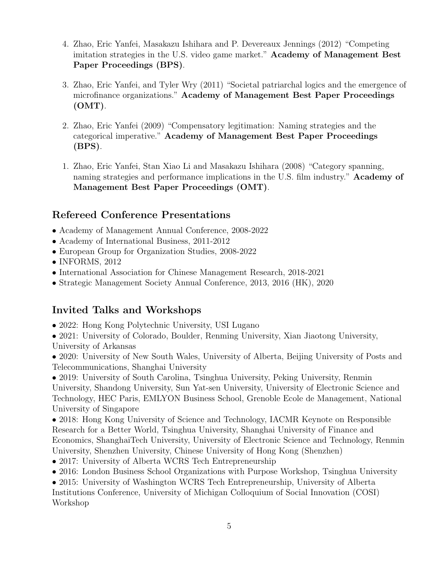- 4. Zhao, Eric Yanfei, Masakazu Ishihara and P. Devereaux Jennings (2012) "Competing imitation strategies in the U.S. video game market." Academy of Management Best Paper Proceedings (BPS).
- 3. Zhao, Eric Yanfei, and Tyler Wry (2011) "Societal patriarchal logics and the emergence of microfinance organizations." Academy of Management Best Paper Proceedings  $(OMT)$ .
- 2. Zhao, Eric Yanfei (2009) "Compensatory legitimation: Naming strategies and the categorical imperative." Academy of Management Best Paper Proceedings (BPS).
- 1. Zhao, Eric Yanfei, Stan Xiao Li and Masakazu Ishihara (2008) "Category spanning, naming strategies and performance implications in the U.S. film industry." Academy of Management Best Paper Proceedings (OMT).

### Refereed Conference Presentations

- Academy of Management Annual Conference, 2008-2022
- Academy of International Business, 2011-2012
- European Group for Organization Studies, 2008-2022
- INFORMS, 2012
- International Association for Chinese Management Research, 2018-2021
- Strategic Management Society Annual Conference, 2013, 2016 (HK), 2020

### Invited Talks and Workshops

- 2022: Hong Kong Polytechnic University, USI Lugano
- 2021: University of Colorado, Boulder, Renming University, Xian Jiaotong University, University of Arkansas

• 2020: University of New South Wales, University of Alberta, Beijing University of Posts and Telecommunications, Shanghai University

• 2019: University of South Carolina, Tsinghua University, Peking University, Renmin University, Shandong University, Sun Yat-sen University, University of Electronic Science and Technology, HEC Paris, EMLYON Business School, Grenoble Ecole de Management, National University of Singapore

• 2018: Hong Kong University of Science and Technology, IACMR Keynote on Responsible Research for a Better World, Tsinghua University, Shanghai University of Finance and Economics, ShanghaiTech University, University of Electronic Science and Technology, Renmin University, Shenzhen University, Chinese University of Hong Kong (Shenzhen)

- 2017: University of Alberta WCRS Tech Entrepreneurship
- 2016: London Business School Organizations with Purpose Workshop, Tsinghua University

• 2015: University of Washington WCRS Tech Entrepreneurship, University of Alberta Institutions Conference, University of Michigan Colloquium of Social Innovation (COSI) Workshop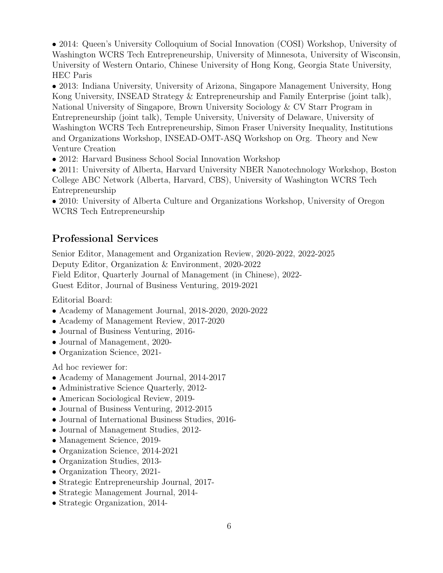• 2014: Queen's University Colloquium of Social Innovation (COSI) Workshop, University of Washington WCRS Tech Entrepreneurship, University of Minnesota, University of Wisconsin, University of Western Ontario, Chinese University of Hong Kong, Georgia State University, HEC Paris

• 2013: Indiana University, University of Arizona, Singapore Management University, Hong Kong University, INSEAD Strategy & Entrepreneurship and Family Enterprise (joint talk), National University of Singapore, Brown University Sociology & CV Starr Program in Entrepreneurship (joint talk), Temple University, University of Delaware, University of Washington WCRS Tech Entrepreneurship, Simon Fraser University Inequality, Institutions and Organizations Workshop, INSEAD-OMT-ASQ Workshop on Org. Theory and New Venture Creation

• 2012: Harvard Business School Social Innovation Workshop

• 2011: University of Alberta, Harvard University NBER Nanotechnology Workshop, Boston College ABC Network (Alberta, Harvard, CBS), University of Washington WCRS Tech Entrepreneurship

• 2010: University of Alberta Culture and Organizations Workshop, University of Oregon WCRS Tech Entrepreneurship

# Professional Services

Senior Editor, Management and Organization Review, 2020-2022, 2022-2025 Deputy Editor, Organization & Environment, 2020-2022 Field Editor, Quarterly Journal of Management (in Chinese), 2022- Guest Editor, Journal of Business Venturing, 2019-2021

Editorial Board:

- Academy of Management Journal, 2018-2020, 2020-2022
- Academy of Management Review, 2017-2020
- Journal of Business Venturing, 2016-
- Journal of Management, 2020-
- Organization Science, 2021-

Ad hoc reviewer for:

- Academy of Management Journal, 2014-2017
- Administrative Science Quarterly, 2012-
- American Sociological Review, 2019-
- Journal of Business Venturing, 2012-2015
- Journal of International Business Studies, 2016-
- Journal of Management Studies, 2012-
- Management Science, 2019-
- Organization Science, 2014-2021
- Organization Studies, 2013-
- Organization Theory, 2021-
- Strategic Entrepreneurship Journal, 2017-
- Strategic Management Journal, 2014-
- Strategic Organization, 2014-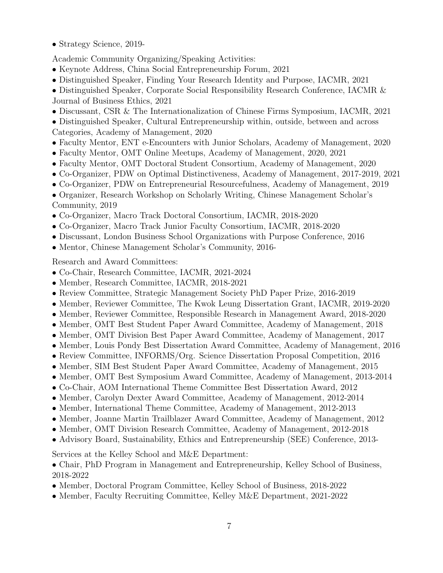• Strategy Science, 2019-

Academic Community Organizing/Speaking Activities:

- Keynote Address, China Social Entrepreneurship Forum, 2021
- Distinguished Speaker, Finding Your Research Identity and Purpose, IACMR, 2021

• Distinguished Speaker, Corporate Social Responsibility Research Conference, IACMR & Journal of Business Ethics, 2021

• Discussant, CSR & The Internationalization of Chinese Firms Symposium, IACMR, 2021

• Distinguished Speaker, Cultural Entrepreneurship within, outside, between and across Categories, Academy of Management, 2020

- Faculty Mentor, ENT e-Encounters with Junior Scholars, Academy of Management, 2020
- Faculty Mentor, OMT Online Meetups, Academy of Management, 2020, 2021
- Faculty Mentor, OMT Doctoral Student Consortium, Academy of Management, 2020
- Co-Organizer, PDW on Optimal Distinctiveness, Academy of Management, 2017-2019, 2021
- Co-Organizer, PDW on Entrepreneurial Resourcefulness, Academy of Management, 2019
- Organizer, Research Workshop on Scholarly Writing, Chinese Management Scholar's Community, 2019
- Co-Organizer, Macro Track Doctoral Consortium, IACMR, 2018-2020
- Co-Organizer, Macro Track Junior Faculty Consortium, IACMR, 2018-2020
- Discussant, London Business School Organizations with Purpose Conference, 2016
- Mentor, Chinese Management Scholar's Community, 2016-

Research and Award Committees:

- Co-Chair, Research Committee, IACMR, 2021-2024
- Member, Research Committee, IACMR, 2018-2021
- Review Committee, Strategic Management Society PhD Paper Prize, 2016-2019
- Member, Reviewer Committee, The Kwok Leung Dissertation Grant, IACMR, 2019-2020
- Member, Reviewer Committee, Responsible Research in Management Award, 2018-2020
- Member, OMT Best Student Paper Award Committee, Academy of Management, 2018
- Member, OMT Division Best Paper Award Committee, Academy of Management, 2017
- Member, Louis Pondy Best Dissertation Award Committee, Academy of Management, 2016
- Review Committee, INFORMS/Org. Science Dissertation Proposal Competition, 2016
- Member, SIM Best Student Paper Award Committee, Academy of Management, 2015
- Member, OMT Best Symposium Award Committee, Academy of Management, 2013-2014
- Co-Chair, AOM International Theme Committee Best Dissertation Award, 2012
- Member, Carolyn Dexter Award Committee, Academy of Management, 2012-2014
- Member, International Theme Committee, Academy of Management, 2012-2013
- Member, Joanne Martin Trailblazer Award Committee, Academy of Management, 2012
- Member, OMT Division Research Committee, Academy of Management, 2012-2018
- Advisory Board, Sustainability, Ethics and Entrepreneurship (SEE) Conference, 2013-

Services at the Kelley School and M&E Department:

• Chair, PhD Program in Management and Entrepreneurship, Kelley School of Business, 2018-2022

- Member, Doctoral Program Committee, Kelley School of Business, 2018-2022
- Member, Faculty Recruiting Committee, Kelley M&E Department, 2021-2022